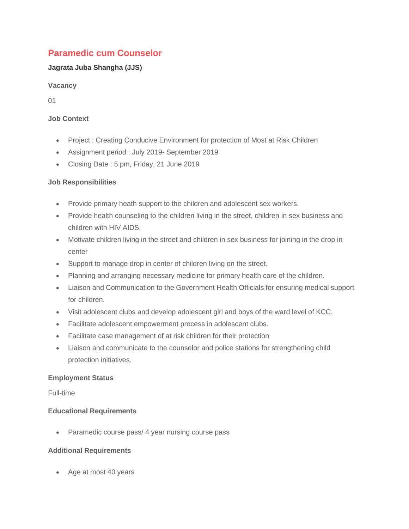# **Paramedic cum Counselor**

## **Jagrata Juba Shangha (JJS)**

**Vacancy**

01

### **Job Context**

- Project : Creating Conducive Environment for protection of Most at Risk Children
- Assignment period : July 2019- September 2019
- Closing Date : 5 pm, Friday, 21 June 2019

## **Job Responsibilities**

- Provide primary heath support to the children and adolescent sex workers.
- Provide health counseling to the children living in the street, children in sex business and children with HIV AIDS.
- Motivate children living in the street and children in sex business for joining in the drop in center
- Support to manage drop in center of children living on the street.
- Planning and arranging necessary medicine for primary health care of the children.
- Liaison and Communication to the Government Health Officials for ensuring medical support for children.
- Visit adolescent clubs and develop adolescent girl and boys of the ward level of KCC.
- Facilitate adolescent empowerment process in adolescent clubs.
- Facilitate case management of at risk children for their protection
- Liaison and communicate to the counselor and police stations for strengthening child protection initiatives.

#### **Employment Status**

Full-time

#### **Educational Requirements**

• Paramedic course pass/ 4 year nursing course pass

## **Additional Requirements**

• Age at most 40 years